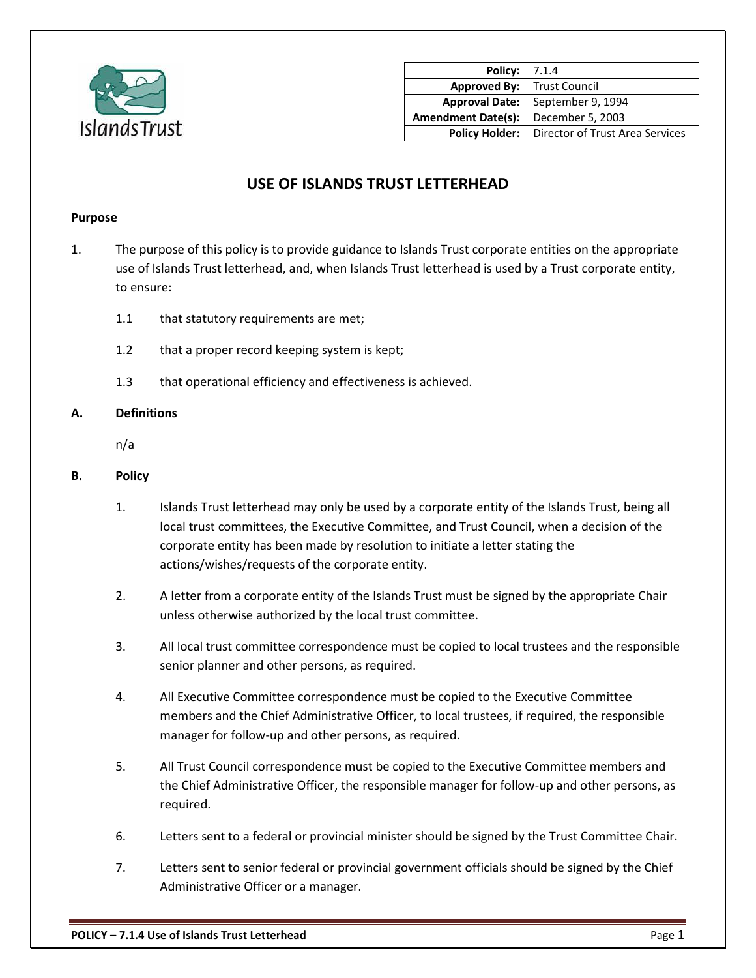

| Policy:                   | 7.1.4                           |
|---------------------------|---------------------------------|
| <b>Approved By:</b>       | <b>Trust Council</b>            |
| <b>Approval Date:</b>     | September 9, 1994               |
| <b>Amendment Date(s):</b> | December 5, 2003                |
| <b>Policy Holder:</b>     | Director of Trust Area Services |

# **USE OF ISLANDS TRUST LETTERHEAD**

## **Purpose**

- 1. The purpose of this policy is to provide guidance to Islands Trust corporate entities on the appropriate use of Islands Trust letterhead, and, when Islands Trust letterhead is used by a Trust corporate entity, to ensure:
	- 1.1 that statutory requirements are met;
	- 1.2 that a proper record keeping system is kept;
	- 1.3 that operational efficiency and effectiveness is achieved.

## **A. Definitions**

n/a

#### **B. Policy**

- 1. Islands Trust letterhead may only be used by a corporate entity of the Islands Trust, being all local trust committees, the Executive Committee, and Trust Council, when a decision of the corporate entity has been made by resolution to initiate a letter stating the actions/wishes/requests of the corporate entity.
- 2. A letter from a corporate entity of the Islands Trust must be signed by the appropriate Chair unless otherwise authorized by the local trust committee.
- 3. All local trust committee correspondence must be copied to local trustees and the responsible senior planner and other persons, as required.
- 4. All Executive Committee correspondence must be copied to the Executive Committee members and the Chief Administrative Officer, to local trustees, if required, the responsible manager for follow-up and other persons, as required.
- 5. All Trust Council correspondence must be copied to the Executive Committee members and the Chief Administrative Officer, the responsible manager for follow-up and other persons, as required.
- 6. Letters sent to a federal or provincial minister should be signed by the Trust Committee Chair.
- 7. Letters sent to senior federal or provincial government officials should be signed by the Chief Administrative Officer or a manager.